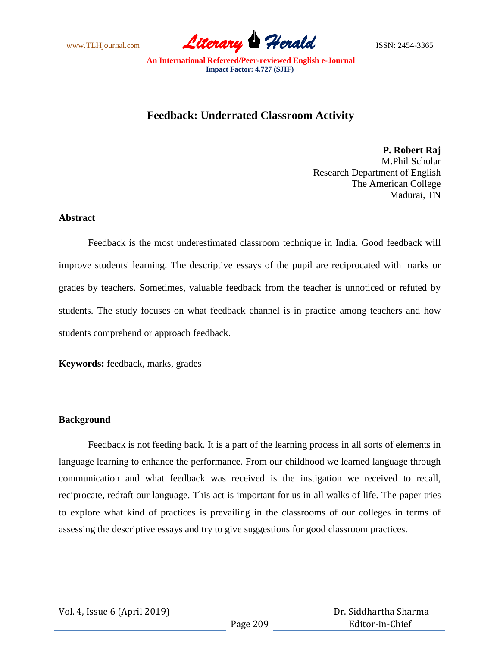www.TLHjournal.com **Literary Herald** ISSN: 2454-3365

# **Feedback: Underrated Classroom Activity**

**P. Robert Raj** M.Phil Scholar Research Department of English The American College Madurai, TN

### **Abstract**

Feedback is the most underestimated classroom technique in India. Good feedback will improve students' learning. The descriptive essays of the pupil are reciprocated with marks or grades by teachers. Sometimes, valuable feedback from the teacher is unnoticed or refuted by students. The study focuses on what feedback channel is in practice among teachers and how students comprehend or approach feedback.

**Keywords:** feedback, marks, grades

## **Background**

Feedback is not feeding back. It is a part of the learning process in all sorts of elements in language learning to enhance the performance. From our childhood we learned language through communication and what feedback was received is the instigation we received to recall, reciprocate, redraft our language. This act is important for us in all walks of life. The paper tries to explore what kind of practices is prevailing in the classrooms of our colleges in terms of assessing the descriptive essays and try to give suggestions for good classroom practices.

Vol. 4, Issue 6 (April 2019)

 Dr. Siddhartha Sharma Editor-in-Chief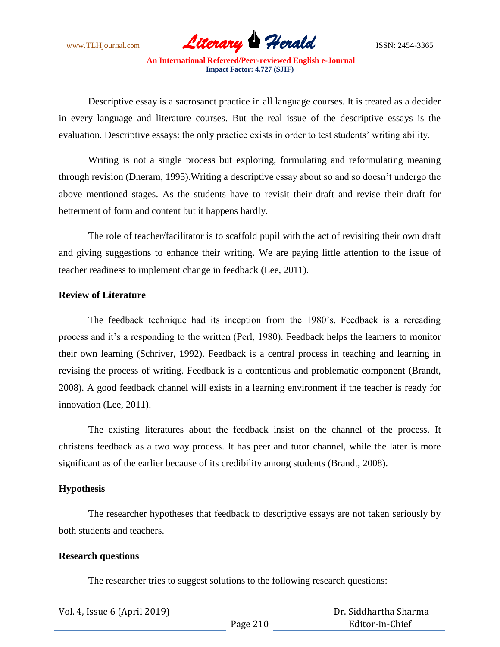www.TLHjournal.com **Literary Herald** ISSN: 2454-3365

Descriptive essay is a sacrosanct practice in all language courses. It is treated as a decider in every language and literature courses. But the real issue of the descriptive essays is the evaluation. Descriptive essays: the only practice exists in order to test students' writing ability.

Writing is not a single process but exploring, formulating and reformulating meaning through revision (Dheram, 1995).Writing a descriptive essay about so and so doesn't undergo the above mentioned stages. As the students have to revisit their draft and revise their draft for betterment of form and content but it happens hardly.

The role of teacher/facilitator is to scaffold pupil with the act of revisiting their own draft and giving suggestions to enhance their writing. We are paying little attention to the issue of teacher readiness to implement change in feedback (Lee, 2011).

### **Review of Literature**

The feedback technique had its inception from the 1980's. Feedback is a rereading process and it's a responding to the written (Perl, 1980). Feedback helps the learners to monitor their own learning (Schriver, 1992). Feedback is a central process in teaching and learning in revising the process of writing. Feedback is a contentious and problematic component (Brandt, 2008). A good feedback channel will exists in a learning environment if the teacher is ready for innovation (Lee, 2011).

The existing literatures about the feedback insist on the channel of the process. It christens feedback as a two way process. It has peer and tutor channel, while the later is more significant as of the earlier because of its credibility among students (Brandt, 2008).

#### **Hypothesis**

The researcher hypotheses that feedback to descriptive essays are not taken seriously by both students and teachers.

#### **Research questions**

The researcher tries to suggest solutions to the following research questions:

| Vol. 4, Issue 6 (April 2019) |          | Dr. Siddhartha Sharma |
|------------------------------|----------|-----------------------|
|                              | Page 210 | Editor-in-Chief       |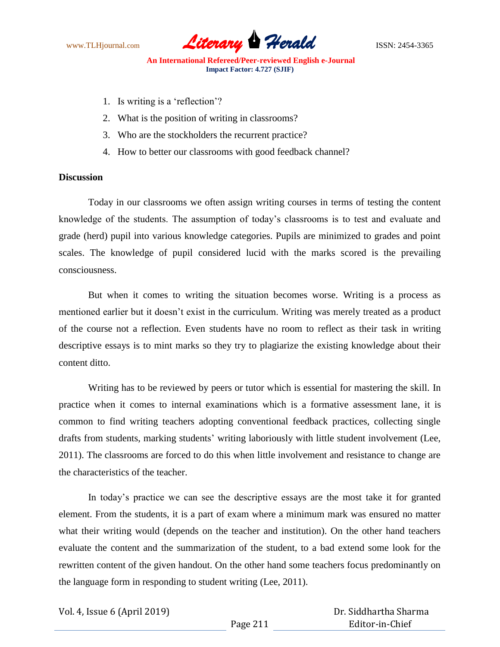

- 1. Is writing is a 'reflection'?
- 2. What is the position of writing in classrooms?
- 3. Who are the stockholders the recurrent practice?
- 4. How to better our classrooms with good feedback channel?

## **Discussion**

Today in our classrooms we often assign writing courses in terms of testing the content knowledge of the students. The assumption of today's classrooms is to test and evaluate and grade (herd) pupil into various knowledge categories. Pupils are minimized to grades and point scales. The knowledge of pupil considered lucid with the marks scored is the prevailing consciousness.

But when it comes to writing the situation becomes worse. Writing is a process as mentioned earlier but it doesn't exist in the curriculum. Writing was merely treated as a product of the course not a reflection. Even students have no room to reflect as their task in writing descriptive essays is to mint marks so they try to plagiarize the existing knowledge about their content ditto.

Writing has to be reviewed by peers or tutor which is essential for mastering the skill. In practice when it comes to internal examinations which is a formative assessment lane, it is common to find writing teachers adopting conventional feedback practices, collecting single drafts from students, marking students' writing laboriously with little student involvement (Lee, 2011). The classrooms are forced to do this when little involvement and resistance to change are the characteristics of the teacher.

In today's practice we can see the descriptive essays are the most take it for granted element. From the students, it is a part of exam where a minimum mark was ensured no matter what their writing would (depends on the teacher and institution). On the other hand teachers evaluate the content and the summarization of the student, to a bad extend some look for the rewritten content of the given handout. On the other hand some teachers focus predominantly on the language form in responding to student writing (Lee, 2011).

Vol. 4, Issue 6 (April 2019)

 Dr. Siddhartha Sharma Editor-in-Chief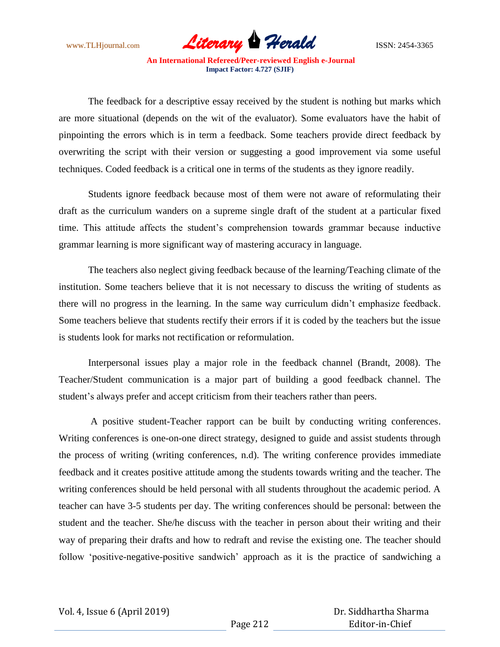

The feedback for a descriptive essay received by the student is nothing but marks which are more situational (depends on the wit of the evaluator). Some evaluators have the habit of pinpointing the errors which is in term a feedback. Some teachers provide direct feedback by overwriting the script with their version or suggesting a good improvement via some useful techniques. Coded feedback is a critical one in terms of the students as they ignore readily.

Students ignore feedback because most of them were not aware of reformulating their draft as the curriculum wanders on a supreme single draft of the student at a particular fixed time. This attitude affects the student's comprehension towards grammar because inductive grammar learning is more significant way of mastering accuracy in language.

The teachers also neglect giving feedback because of the learning/Teaching climate of the institution. Some teachers believe that it is not necessary to discuss the writing of students as there will no progress in the learning. In the same way curriculum didn't emphasize feedback. Some teachers believe that students rectify their errors if it is coded by the teachers but the issue is students look for marks not rectification or reformulation.

Interpersonal issues play a major role in the feedback channel (Brandt, 2008). The Teacher/Student communication is a major part of building a good feedback channel. The student's always prefer and accept criticism from their teachers rather than peers.

A positive student-Teacher rapport can be built by conducting writing conferences. Writing conferences is one-on-one direct strategy, designed to guide and assist students through the process of writing (writing conferences, n.d). The writing conference provides immediate feedback and it creates positive attitude among the students towards writing and the teacher. The writing conferences should be held personal with all students throughout the academic period. A teacher can have 3-5 students per day. The writing conferences should be personal: between the student and the teacher. She/he discuss with the teacher in person about their writing and their way of preparing their drafts and how to redraft and revise the existing one. The teacher should follow 'positive-negative-positive sandwich' approach as it is the practice of sandwiching a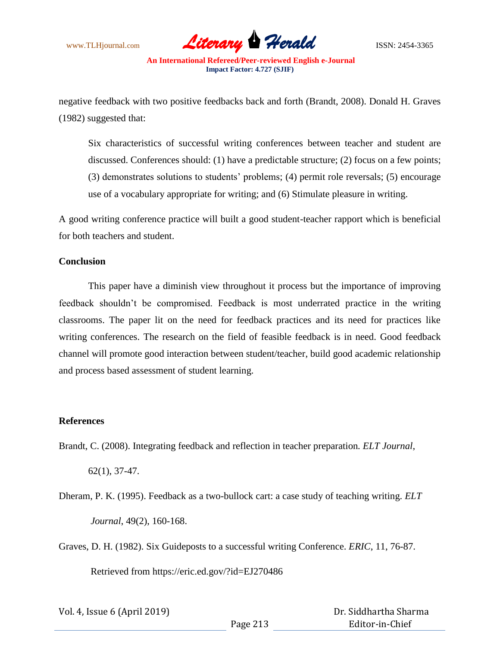

negative feedback with two positive feedbacks back and forth (Brandt, 2008). Donald H. Graves (1982) suggested that:

Six characteristics of successful writing conferences between teacher and student are discussed. Conferences should: (1) have a predictable structure; (2) focus on a few points; (3) demonstrates solutions to students' problems; (4) permit role reversals; (5) encourage use of a vocabulary appropriate for writing; and (6) Stimulate pleasure in writing.

A good writing conference practice will built a good student-teacher rapport which is beneficial for both teachers and student.

### **Conclusion**

This paper have a diminish view throughout it process but the importance of improving feedback shouldn't be compromised. Feedback is most underrated practice in the writing classrooms. The paper lit on the need for feedback practices and its need for practices like writing conferences. The research on the field of feasible feedback is in need. Good feedback channel will promote good interaction between student/teacher, build good academic relationship and process based assessment of student learning.

### **References**

Brandt, C. (2008). Integrating feedback and reflection in teacher preparation*. ELT Journal*,

62(1), 37-47.

- Dheram, P. K. (1995). Feedback as a two-bullock cart: a case study of teaching writing. *ELT Journal*, 49(2), 160-168.
- Graves, D. H. (1982). Six Guideposts to a successful writing Conference. *ERIC*, 11, 76-87.

Retrieved from https://eric.ed.gov/?id=EJ270486

| Vol. 4, Issue 6 (April 2019) |          | Dr. Siddhartha Sharma |
|------------------------------|----------|-----------------------|
|                              | Page 213 | Editor-in-Chief       |